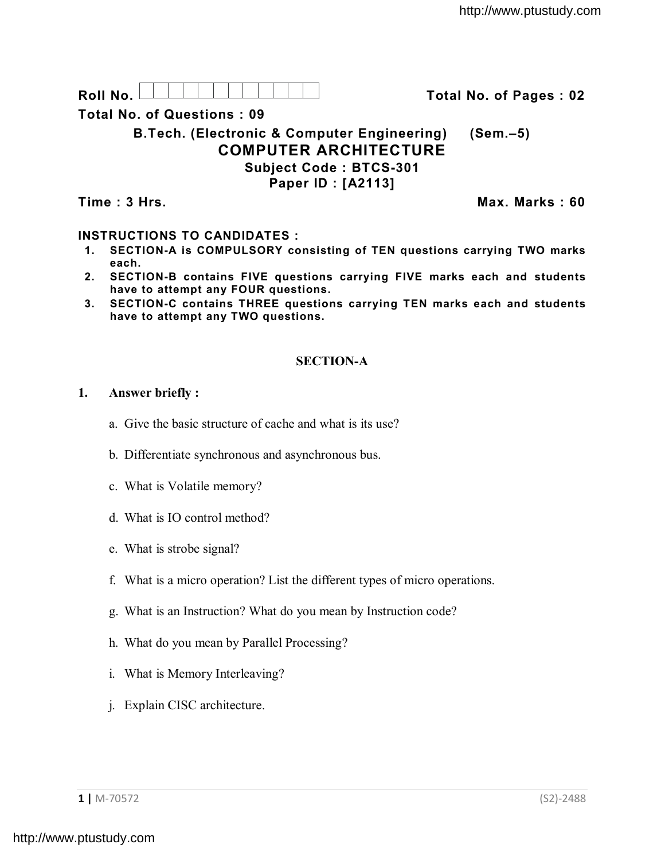Roll No. <u>And I And I Alexander Hermitide Collinson Total No.</u> of Pages : 02

**Total No. of Questions : 09**

**B.Tech. (Electronic & Computer Engineering) (Sem.–5) COMPUTER ARCHITECTURE Subject Code : BTCS-301 Paper ID : [A2113]**

**Time : 3 Hrs. Max. Marks : 60**

## **INSTRUCTIONS TO CANDIDATES :**

- **1. SECTION-A is COMPULSORY consisting of TEN questions carrying TWO marks each.**
- **2. SECTION-B contains FIVE questions carrying FIVE marks each and students have to attempt any FOUR questions.**
- **3. SECTION-C contains THREE questions carrying TEN marks each and students have to attempt any TWO questions.**

# **SECTION-A**

## **1. Answer briefly :**

- a. Give the basic structure of cache and what is its use?
- b. Differentiate synchronous and asynchronous bus.
- c. What is Volatile memory?
- d. What is IO control method?
- e. What is strobe signal?
- f. What is a micro operation? List the different types of micro operations.
- g. What is an Instruction? What do you mean by Instruction code?
- h. What do you mean by Parallel Processing?
- i. What is Memory Interleaving?
- j. Explain CISC architecture.